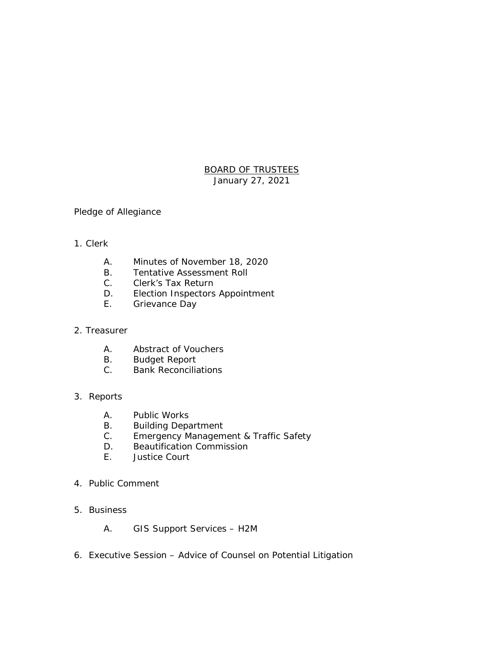# BOARD OF TRUSTEES January 27, 2021

## Pledge of Allegiance

### 1. Clerk

- A. Minutes of November 18, 2020
- B. Tentative Assessment Roll
- C. Clerk's Tax Return
- D. Election Inspectors Appointment<br>E. Grievance Day
- Grievance Day

### 2. Treasurer

- A. Abstract of Vouchers
- B. Budget Report
- C. Bank Reconciliations

## 3. Reports

- A. Public Works
- B. Building Department
- C. Emergency Management & Traffic Safety
- D. Beautification Commission
- E. Justice Court

### 4. Public Comment

- 5. Business
	- A. GIS Support Services H2M
- 6. Executive Session Advice of Counsel on Potential Litigation